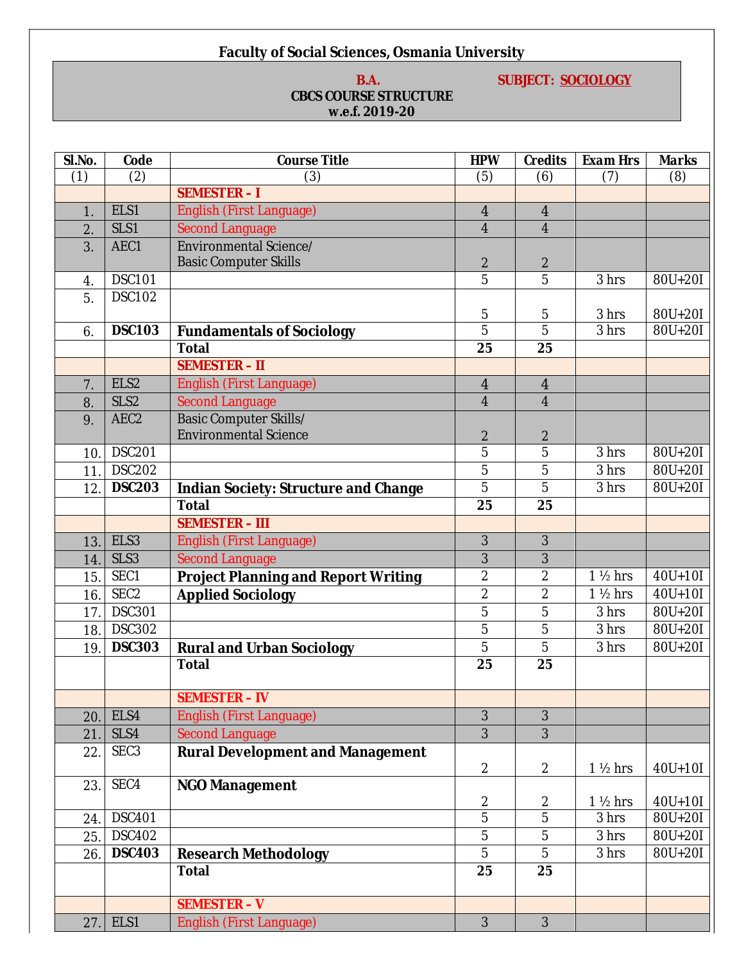# **Faculty of Social Sciences, Osmania University**

# **B.A.** SUBJECT: SOCIOLOGY

# **CBCS COURSE STRUCTURE w.e.f. 2019-20**

| Sl.No. | Code             | <b>Course Title</b>                                                 | <b>HPW</b>       | Credits                 | <b>Exam Hrs</b>    | Marks                 |
|--------|------------------|---------------------------------------------------------------------|------------------|-------------------------|--------------------|-----------------------|
| (1)    | (2)              | (3)<br>(6)<br>(7)<br>(5)                                            |                  |                         | (8)                |                       |
|        |                  | <b>SEMESTER-I</b>                                                   |                  |                         |                    |                       |
| 1.     | ELS1             | <b>English (First Language)</b><br>$\overline{4}$<br>$\overline{4}$ |                  |                         |                    |                       |
| 2.     | SLS1             | <b>Second Language</b>                                              | $\overline{4}$   | $\overline{\mathbf{4}}$ |                    |                       |
| 3.     | AEC1             | Environmental Science/                                              |                  |                         |                    |                       |
|        |                  | <b>Basic Computer Skills</b>                                        | $\boldsymbol{2}$ | $\boldsymbol{2}$        |                    |                       |
| 4.     | DSC101           |                                                                     | $\overline{5}$   | $\overline{5}$          | 3 hrs              | $\overline{80}$ U+20I |
| 5.     | <b>DSC102</b>    |                                                                     |                  |                         |                    |                       |
|        |                  |                                                                     | $\mathbf 5$      | $\sqrt{5}$              | 3 hrs              | 80U+20I               |
| 6.     | <b>DSC103</b>    | <b>Fundamentals of Sociology</b>                                    | $\overline{5}$   | $\overline{5}$          | 3 hrs              | 80U+20I               |
|        |                  | Total                                                               | 25               | 25                      |                    |                       |
|        |                  | <b>SEMESTER - II</b>                                                |                  |                         |                    |                       |
| 7.     | ELS2             | <b>English (First Language)</b>                                     | $\overline{4}$   | $\overline{4}$          |                    |                       |
| 8.     | SLS <sub>2</sub> | <b>Second Language</b>                                              | $\overline{4}$   | $\overline{4}$          |                    |                       |
| 9.     | AEC <sub>2</sub> | Basic Computer Skills/                                              |                  |                         |                    |                       |
|        |                  | <b>Environmental Science</b>                                        | $\boldsymbol{2}$ | $\boldsymbol{2}$        |                    |                       |
| 10.    | <b>DSC201</b>    |                                                                     | $\overline{5}$   | $\overline{5}$          | 3 hrs              | 80U+20I               |
| 11.    | <b>DSC202</b>    |                                                                     | $\overline{5}$   | $\bf 5$                 | 3 hrs              | 80U+20I               |
| 12.    | <b>DSC203</b>    | Indian Society: Structure and Change                                | 5                | 5                       | 3 hrs              | 80U+20I               |
|        |                  | Total                                                               | 25               | 25                      |                    |                       |
|        |                  | <b>SEMESTER - III</b>                                               |                  |                         |                    |                       |
| 13.    | ELS3             | English (First Language)                                            | $\mathbf{3}$     | 3                       |                    |                       |
| 14.    | SLS3             | <b>Second Language</b>                                              | 3                | 3                       |                    |                       |
| 15.    | SEC1             | <b>Project Planning and Report Writing</b>                          | $\boldsymbol{2}$ | $\boldsymbol{2}$        | $1\frac{1}{2}$ hrs | $40U+10I$             |
| 16.    | SEC <sub>2</sub> | $\overline{2}$<br>$\boldsymbol{2}$<br><b>Applied Sociology</b>      |                  | $1\frac{1}{2}$ hrs      | $40U + 10I$        |                       |
| 17.    | <b>DSC301</b>    | 5<br>$\overline{5}$                                                 |                  | 3 hrs                   | 80U+20I            |                       |
| 18.    | <b>DSC302</b>    |                                                                     | $\overline{5}$   | $\bf 5$                 | 3 hrs              | $\overline{80}U+20I$  |
| 19.    | <b>DSC303</b>    | <b>Rural and Urban Sociology</b>                                    | 5                | $\overline{5}$          | 3 hrs              | 80U+20I               |
|        |                  | Total                                                               | 25               | 25                      |                    |                       |
|        |                  |                                                                     |                  |                         |                    |                       |
|        |                  | <b>SEMESTER - IV</b>                                                |                  |                         |                    |                       |
| 20.    | ELS4             | English (First Language)                                            | 3                | 3                       |                    |                       |
| 21.    | SLS4             | <b>Second Language</b>                                              | 3                | 3                       |                    |                       |
| 22.    | SEC <sub>3</sub> | <b>Rural Development and Management</b>                             |                  |                         |                    |                       |
|        |                  |                                                                     | $\boldsymbol{2}$ | $\boldsymbol{2}$        | $1\frac{1}{2}$ hrs | $40U + 10I$           |
| 23.    | SEC4             | NGO Management                                                      |                  |                         |                    |                       |
|        |                  |                                                                     | $\boldsymbol{2}$ | $\boldsymbol{2}$        | $1\frac{1}{2}$ hrs | $40U + 10I$           |
| 24.    | <b>DSC401</b>    |                                                                     | $\overline{5}$   | $\overline{5}$          | 3 hrs              | 80U+20I               |
| 25.    | <b>DSC402</b>    |                                                                     | $\overline{5}$   | $\bf 5$                 | 3 hrs              | 80U+20I               |
| 26.    | <b>DSC403</b>    | <b>Research Methodology</b>                                         | $\overline{5}$   | $\bf 5$                 | $3\,\mathrm{hrs}$  | $80U+20I$             |
|        |                  | Total                                                               | 25               | 25                      |                    |                       |
|        |                  |                                                                     |                  |                         |                    |                       |
|        |                  | <b>SEMESTER - V</b>                                                 |                  |                         |                    |                       |
| 27.    | ELS1             | English (First Language)                                            | 3                | 3                       |                    |                       |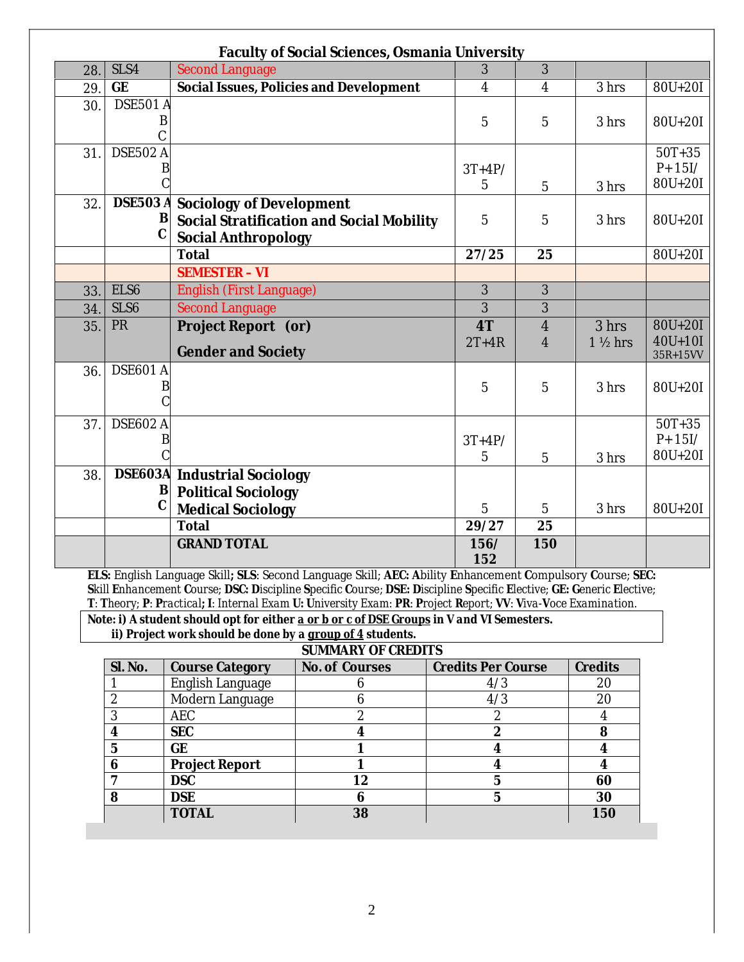|     |                  | Faculty of Social Sciences, Osmania University |                         |                         |                    |             |
|-----|------------------|------------------------------------------------|-------------------------|-------------------------|--------------------|-------------|
| 28. | SLS4             | <b>Second Language</b>                         | 3                       | 3                       |                    |             |
| 29. | GE               | Social Issues, Policies and Development        | $\overline{\mathbf{4}}$ | $\overline{\mathbf{4}}$ | 3 hrs              | 80U+20I     |
| 30. | <b>DSE501 A</b>  |                                                |                         |                         |                    |             |
|     | B                |                                                | 5                       | 5                       | 3 hrs              | $80U + 20I$ |
|     |                  |                                                |                         |                         |                    |             |
| 31. | <b>DSE502 A</b>  |                                                |                         |                         |                    | $50T + 35$  |
|     | B                |                                                | $3T+4P/$                |                         |                    | $P + 15I/$  |
|     |                  |                                                | 5                       | 5                       | 3 hrs              | $80U + 20I$ |
| 32. | <b>DSE503 A</b>  | Sociology of Development                       |                         |                         |                    |             |
|     | B                | Social Stratification and Social Mobility      | $\overline{5}$          | 5                       | 3 hrs              | 80U+20I     |
|     | $\overline{C}$   | Social Anthropology                            |                         |                         |                    |             |
|     |                  | Total                                          | 27/25                   | 25                      |                    | 80U+20I     |
|     |                  | <b>SEMESTER - VI</b>                           |                         |                         |                    |             |
| 33. | ELS6             | <b>English (First Language)</b>                | $\overline{3}$          | 3                       |                    |             |
| 34. | SLS <sub>6</sub> | <b>Second Language</b>                         | $\overline{3}$          | 3                       |                    |             |
| 35. | PR               | Project Report (or)                            | 4T                      | $\overline{4}$          | 3 hrs              | 80U+20I     |
|     |                  |                                                | $2T+4R$                 | 4                       | $1\frac{1}{2}$ hrs | $40U + 10I$ |
|     |                  | <b>Gender and Society</b>                      |                         |                         |                    | 35R+15VV    |
| 36. | <b>DSE601 A</b>  |                                                |                         |                         |                    |             |
|     | B                |                                                | 5                       | 5                       | 3 hrs              | 80U+20I     |
|     |                  |                                                |                         |                         |                    |             |
| 37. | <b>DSE602 A</b>  |                                                |                         |                         |                    | $50T + 35$  |
|     | B                |                                                | $3T+4P/$                |                         |                    | $P + 15I/$  |
|     |                  |                                                | 5                       | 5                       | 3 hrs              | 80U+20I     |
| 38. |                  | <b>DSE603A</b> Industrial Sociology            |                         |                         |                    |             |
|     | B                | <b>Political Sociology</b>                     |                         |                         |                    |             |
|     | $\mathcal{C}$    | <b>Medical Sociology</b>                       | $\overline{5}$          | $\overline{5}$          | 3 hrs              | 80U+20I     |
|     |                  | Total                                          | 29/27                   | 25                      |                    |             |
|     |                  | <b>GRAND TOTAL</b>                             | 156/                    | 150                     |                    |             |
|     |                  |                                                | 152                     |                         |                    |             |

**ELS:** English Language Skill**; SLS**: Second Language Skill; **AEC: A**bility **E**nhancement **C**ompulsory **C**ourse; *SEC:* Skill Enhancement Course; DSC: Discipline Specific Course; DSE: Discipline Specific Elective; GE: Generic Elective; T: Theory; P: Practical; I: Internal Exam U: University Exam: PR: Project Report; VV: Viva-Voce Examination.

*Note: i) A student should opt for either a or b or c of DSE Groups in V and VI Semesters. ii) Project work should be done by a group of 4 students.*

|  | <b>SUMMARY OF CREDITS</b> |
|--|---------------------------|

| Sl. No. | <b>Course Category</b>  | No. of Courses | <b>Credits Per Course</b> | Credits |
|---------|-------------------------|----------------|---------------------------|---------|
|         | <b>English Language</b> |                | 4/3                       | 20      |
|         | Modern Language         |                | 4/3                       | 20      |
|         | <b>AEC</b>              |                |                           |         |
|         | <b>SEC</b>              |                | 9                         |         |
|         | GE                      |                |                           |         |
|         | <b>Project Report</b>   |                |                           |         |
|         | <b>DSC</b>              | 12             |                           | 60      |
|         | <b>DSE</b>              |                |                           | 30      |
|         | <b>TOTAL</b>            | 38             |                           | 150     |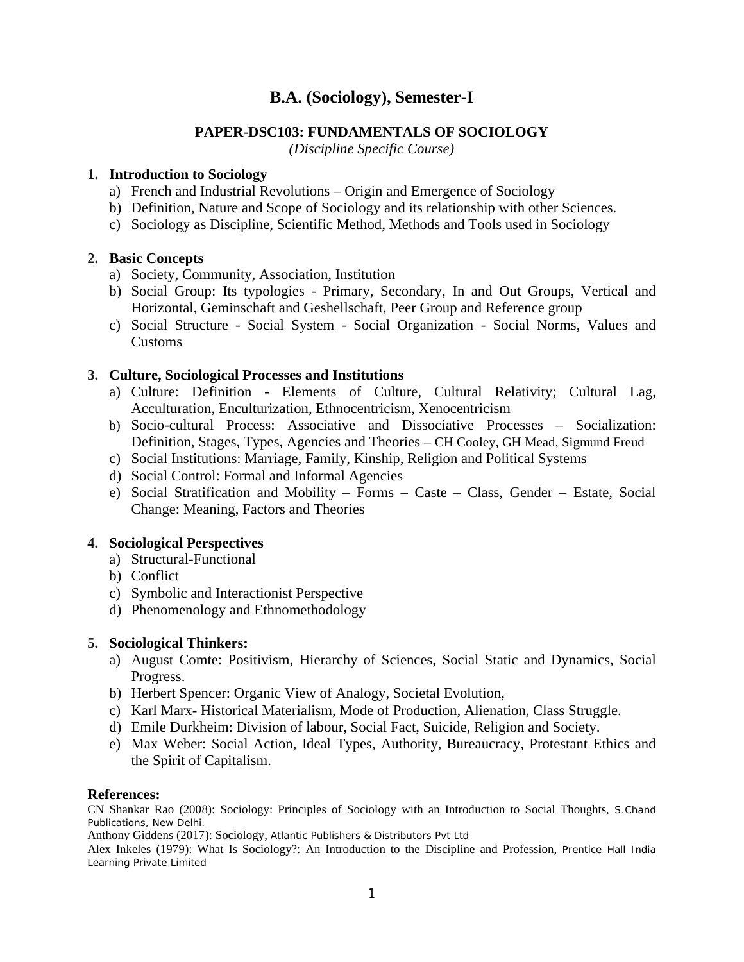# **PAPER-DSC103: FUNDAMENTALS OF SOCIOLOGY**

*(Discipline Specific Course)*

# **1. Introduction to Sociology**

- a) French and Industrial Revolutions Origin and Emergence of Sociology
- b) Definition, Nature and Scope of Sociology and its relationship with other Sciences.
- c) Sociology as Discipline, Scientific Method, Methods and Tools used in Sociology

# **2. Basic Concepts**

- a) Society, Community, Association, Institution
- b) Social Group: Its typologies Primary, Secondary, In and Out Groups, Vertical and Horizontal, Geminschaft and Geshellschaft, Peer Group and Reference group
- c) Social Structure Social System Social Organization Social Norms, Values and Customs

# **3. Culture, Sociological Processes and Institutions**

- a) Culture: Definition Elements of Culture, Cultural Relativity; Cultural Lag, Acculturation, Enculturization, Ethnocentricism, Xenocentricism
- b) Socio-cultural Process: Associative and Dissociative Processes Socialization: Definition, Stages, Types, Agencies and Theories – CH Cooley, GH Mead, Sigmund Freud
- c) Social Institutions: Marriage, Family, Kinship, Religion and Political Systems
- d) Social Control: Formal and Informal Agencies
- e) Social Stratification and Mobility Forms Caste Class, Gender Estate, Social Change: Meaning, Factors and Theories

## **4. Sociological Perspectives**

- a) Structural-Functional
- b) Conflict
- c) Symbolic and Interactionist Perspective
- d) Phenomenology and Ethnomethodology

## **5. Sociological Thinkers:**

- a) August Comte: Positivism, Hierarchy of Sciences, Social Static and Dynamics, Social Progress.
- b) Herbert Spencer: Organic View of Analogy, Societal Evolution,
- c) Karl Marx- Historical Materialism, Mode of Production, Alienation, Class Struggle.
- d) Emile Durkheim: Division of labour, Social Fact, Suicide, Religion and Society.
- e) Max Weber: Social Action, Ideal Types, Authority, Bureaucracy, Protestant Ethics and the Spirit of Capitalism.

## **References:**

CN Shankar Rao (2008): Sociology: Principles of Sociology with an Introduction to Social Thoughts, S.Chand Publications, New Delhi.

Anthony Giddens (2017): Sociology, Atlantic Publishers & Distributors Pvt Ltd

Alex Inkeles (1979): What Is Sociology?: An Introduction to the Discipline and Profession, Prentice Hall India Learning Private Limited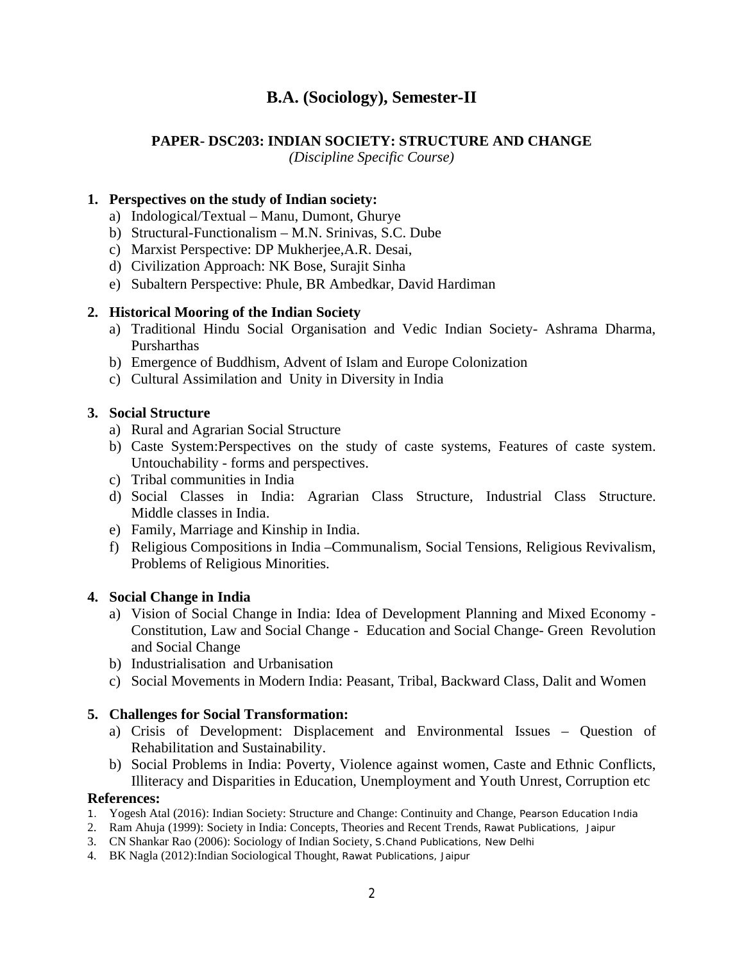# **PAPER- DSC203: INDIAN SOCIETY: STRUCTURE AND CHANGE**

*(Discipline Specific Course)*

# **1. Perspectives on the study of Indian society:**

- a) Indological/Textual Manu, Dumont, Ghurye
- b) Structural-Functionalism M.N. Srinivas, S.C. Dube
- c) Marxist Perspective: DP Mukherjee,A.R. Desai,
- d) Civilization Approach: NK Bose, Surajit Sinha
- e) Subaltern Perspective: Phule, BR Ambedkar, David Hardiman

# **2. Historical Mooring of the Indian Society**

- a) Traditional Hindu Social Organisation and Vedic Indian Society- Ashrama Dharma, Pursharthas
- b) Emergence of Buddhism, Advent of Islam and Europe Colonization
- c) Cultural Assimilation and Unity in Diversity in India

# **3. Social Structure**

- a) Rural and Agrarian Social Structure
- b) Caste System:Perspectives on the study of caste systems, Features of caste system. Untouchability - forms and perspectives.
- c) Tribal communities in India
- d) Social Classes in India: Agrarian Class Structure, Industrial Class Structure. Middle classes in India.
- e) Family, Marriage and Kinship in India.
- f) Religious Compositions in India –Communalism, Social Tensions, Religious Revivalism, Problems of Religious Minorities.

## **4. Social Change in India**

- a) Vision of Social Change in India: Idea of Development Planning and Mixed Economy Constitution, Law and Social Change - Education and Social Change- Green Revolution and Social Change
- b) Industrialisation and Urbanisation
- c) Social Movements in Modern India: Peasant, Tribal, Backward Class, Dalit and Women

# **5. Challenges for Social Transformation:**

- a) Crisis of Development: Displacement and Environmental Issues Question of Rehabilitation and Sustainability.
- b) Social Problems in India: Poverty, Violence against women, Caste and Ethnic Conflicts, Illiteracy and Disparities in Education, Unemployment and Youth Unrest, Corruption etc

- 1. Yogesh Atal (2016): Indian Society: Structure and Change: Continuity and Change, Pearson Education India
- 2. Ram Ahuja (1999): Society in India: Concepts, Theories and Recent Trends, Rawat Publications, Jaipur
- 3. CN Shankar Rao (2006): Sociology of Indian Society, S.Chand Publications, New Delhi
- 4. BK Nagla (2012):Indian Sociological Thought, Rawat Publications, Jaipur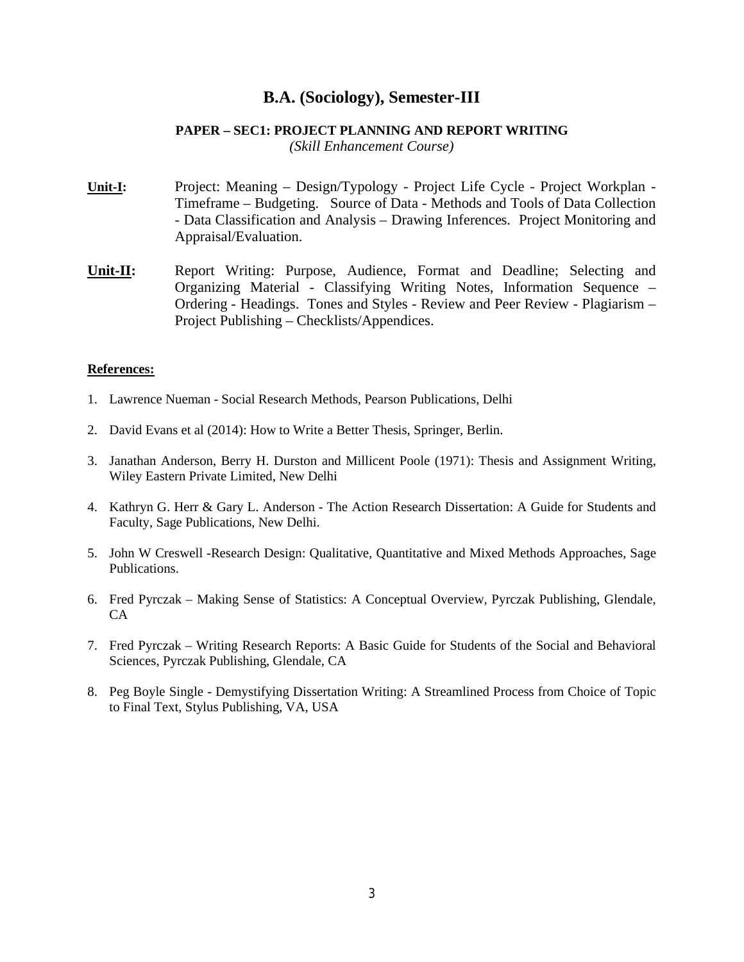# **PAPER – SEC1: PROJECT PLANNING AND REPORT WRITING**

*(Skill Enhancement Course)*

- **Unit-I:** Project: Meaning Design/Typology Project Life Cycle Project Workplan Timeframe – Budgeting. Source of Data - Methods and Tools of Data Collection - Data Classification and Analysis – Drawing Inferences. Project Monitoring and Appraisal/Evaluation.
- **Unit-II:** Report Writing: Purpose, Audience, Format and Deadline; Selecting and Organizing Material - Classifying Writing Notes, Information Sequence – Ordering - Headings. Tones and Styles - Review and Peer Review - Plagiarism – Project Publishing – Checklists/Appendices.

- 1. Lawrence Nueman Social Research Methods, Pearson Publications, Delhi
- 2. David Evans et al (2014): How to Write a Better Thesis, Springer, Berlin.
- 3. Janathan Anderson, Berry H. Durston and Millicent Poole (1971): Thesis and Assignment Writing, Wiley Eastern Private Limited, New Delhi
- 4. Kathryn G. Herr & Gary L. Anderson The Action Research Dissertation: A Guide for Students and Faculty, Sage Publications, New Delhi.
- 5. John W Creswell -Research Design: Qualitative, Quantitative and Mixed Methods Approaches, Sage Publications.
- 6. Fred Pyrczak Making Sense of Statistics: A Conceptual Overview, Pyrczak Publishing, Glendale, CA
- 7. Fred Pyrczak Writing Research Reports: A Basic Guide for Students of the Social and Behavioral Sciences, Pyrczak Publishing, Glendale, CA
- 8. Peg Boyle Single Demystifying Dissertation Writing: A Streamlined Process from Choice of Topic to Final Text, Stylus Publishing, VA, USA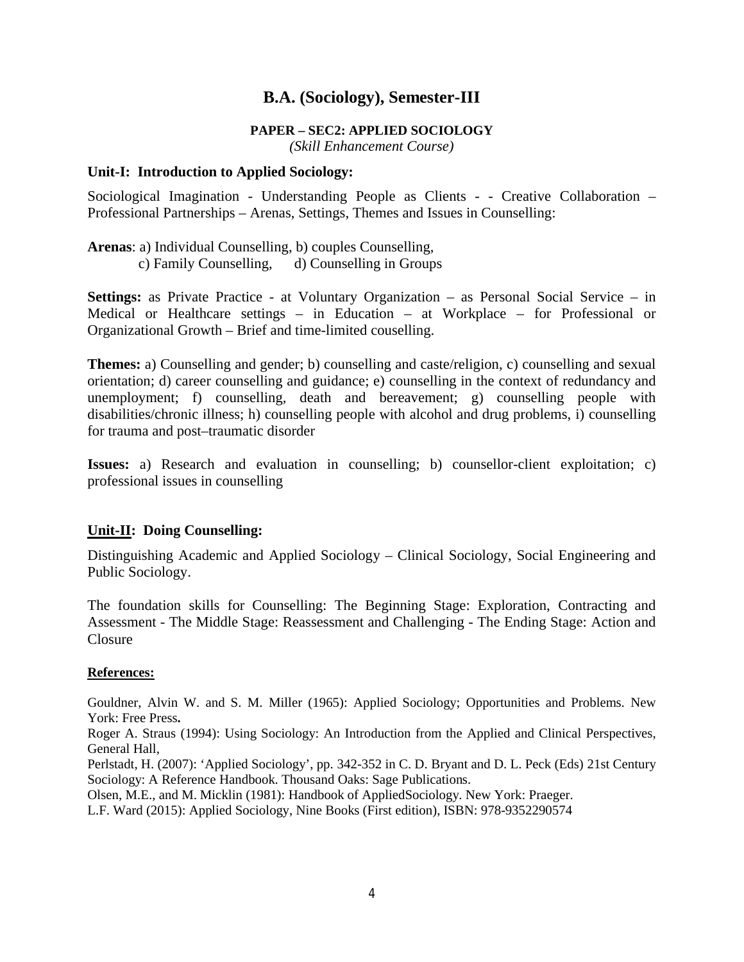#### **PAPER – SEC2: APPLIED SOCIOLOGY**

*(Skill Enhancement Course)*

#### **Unit-I: Introduction to Applied Sociology:**

Sociological Imagination - Understanding People as Clients - - Creative Collaboration – Professional Partnerships – Arenas, Settings, Themes and Issues in Counselling:

**Arenas**: a) Individual Counselling, b) couples Counselling, c) Family Counselling, d) Counselling in Groups

**Settings:** as Private Practice - at Voluntary Organization – as Personal Social Service – in Medical or Healthcare settings – in Education – at Workplace – for Professional or Organizational Growth – Brief and time-limited couselling.

**Themes:** a) Counselling and gender; b) counselling and caste/religion, c) counselling and sexual orientation; d) career counselling and guidance; e) counselling in the context of redundancy and unemployment; f) counselling, death and bereavement; g) counselling people with disabilities/chronic illness; h) counselling people with alcohol and drug problems, i) counselling for trauma and post–traumatic disorder

**Issues:** a) Research and evaluation in counselling; b) counsellor-client exploitation; c) professional issues in counselling

## **Unit-II: Doing Counselling:**

Distinguishing Academic and Applied Sociology – Clinical Sociology, Social Engineering and Public Sociology.

The foundation skills for Counselling: The Beginning Stage: Exploration, Contracting and Assessment - The Middle Stage: Reassessment and Challenging - The Ending Stage: Action and Closure

#### **References:**

Gouldner, Alvin W. and S. M. Miller (1965): Applied Sociology; Opportunities and Problems. New York: Free Press**.** 

Roger A. Straus (1994): Using Sociology: An Introduction from the Applied and Clinical Perspectives, General Hall,

Perlstadt, H. (2007): 'Applied Sociology', pp. 342-352 in C. D. Bryant and D. L. Peck (Eds) 21st Century Sociology: A Reference Handbook. Thousand Oaks: Sage Publications.

Olsen, M.E., and M. Micklin (1981): Handbook of AppliedSociology. New York: Praeger.

L.F. Ward (2015): Applied Sociology, Nine Books (First edition), ISBN: 978-9352290574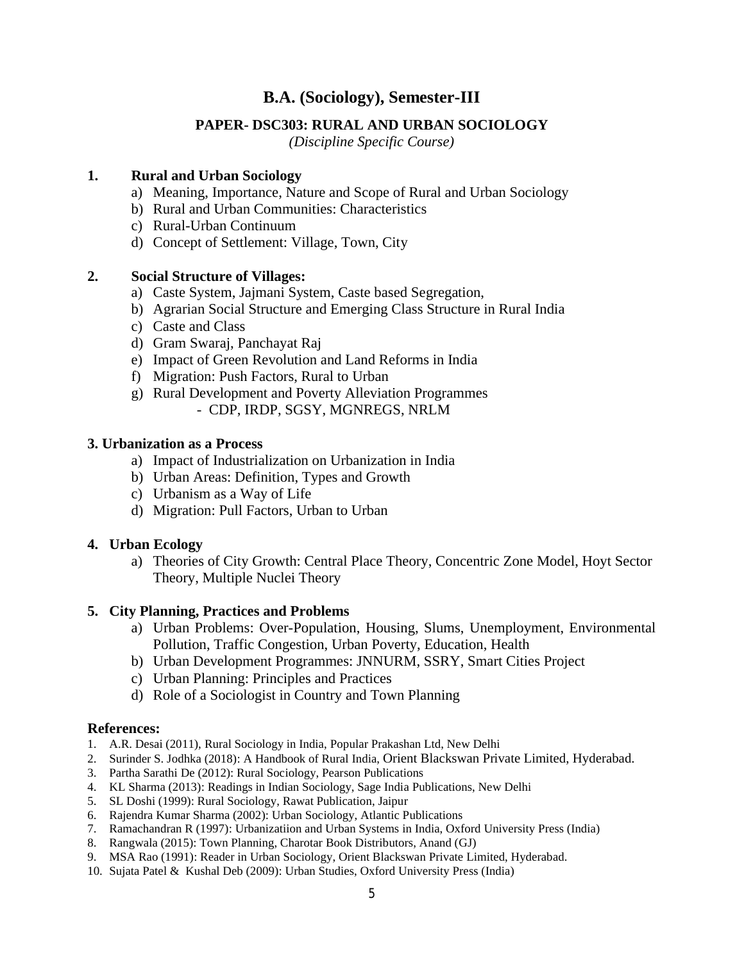## **PAPER- DSC303: RURAL AND URBAN SOCIOLOGY**

*(Discipline Specific Course)*

### **1. Rural and Urban Sociology**

- a) Meaning, Importance, Nature and Scope of Rural and Urban Sociology
- b) Rural and Urban Communities: Characteristics
- c) Rural-Urban Continuum
- d) Concept of Settlement: Village, Town, City

## **2. Social Structure of Villages:**

- a) Caste System, Jajmani System, Caste based Segregation,
- b) Agrarian Social Structure and Emerging Class Structure in Rural India
- c) Caste and Class
- d) Gram Swaraj, Panchayat Raj
- e) Impact of Green Revolution and Land Reforms in India
- f) Migration: Push Factors, Rural to Urban
- g) Rural Development and Poverty Alleviation Programmes
	- CDP, IRDP, SGSY, MGNREGS, NRLM

### **3. Urbanization as a Process**

- a) Impact of Industrialization on Urbanization in India
- b) Urban Areas: Definition, Types and Growth
- c) Urbanism as a Way of Life
- d) Migration: Pull Factors, Urban to Urban

#### **4. Urban Ecology**

a) Theories of City Growth: Central Place Theory, Concentric Zone Model, Hoyt Sector Theory, Multiple Nuclei Theory

#### **5. City Planning, Practices and Problems**

- a) Urban Problems: Over-Population, Housing, Slums, Unemployment, Environmental Pollution, Traffic Congestion, Urban Poverty, Education, Health
- b) Urban Development Programmes: JNNURM, SSRY, Smart Cities Project
- c) Urban Planning: Principles and Practices
- d) Role of a Sociologist in Country and Town Planning

- 1. A.R. Desai (2011), Rural Sociology in India, Popular Prakashan Ltd, New Delhi
- 2. Surinder S. Jodhka (2018): A Handbook of Rural India, Orient Blackswan Private Limited, Hyderabad.
- 3. Partha Sarathi De (2012): Rural Sociology, Pearson Publications
- 4. KL Sharma (2013): Readings in Indian Sociology, Sage India Publications, New Delhi
- 5. SL Doshi (1999): Rural Sociology, Rawat Publication, Jaipur
- 6. Rajendra Kumar Sharma (2002): Urban Sociology, Atlantic Publications
- 7. Ramachandran R (1997): Urbanizatiion and Urban Systems in India, Oxford University Press (India)
- 8. Rangwala (2015): Town Planning, Charotar Book Distributors, Anand (GJ)
- 9. MSA Rao (1991): Reader in Urban Sociology, Orient Blackswan Private Limited, Hyderabad.
- 10. Sujata Patel & Kushal Deb (2009): Urban Studies, Oxford University Press (India)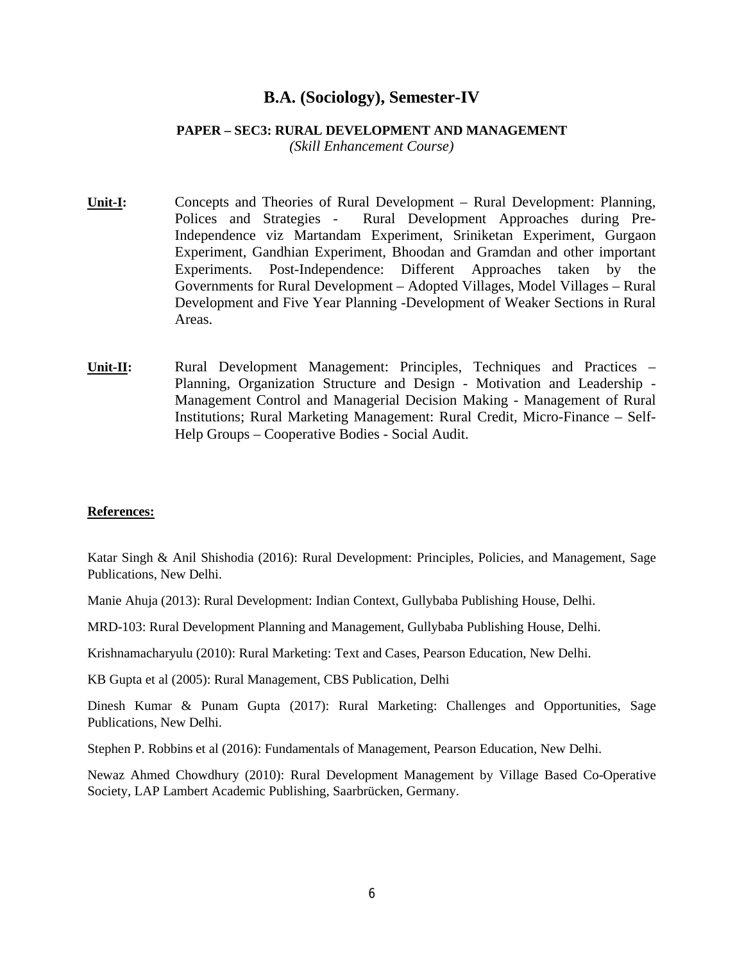#### **PAPER – SEC3: RURAL DEVELOPMENT AND MANAGEMENT**

*(Skill Enhancement Course)*

- **Unit-I:** Concepts and Theories of Rural Development Rural Development: Planning, Polices and Strategies - Rural Development Approaches during Pre-Independence viz Martandam Experiment, Sriniketan Experiment, Gurgaon Experiment, Gandhian Experiment, Bhoodan and Gramdan and other important Experiments. Post-Independence: Different Approaches taken by the Governments for Rural Development – Adopted Villages, Model Villages – Rural Development and Five Year Planning -Development of Weaker Sections in Rural Areas.
- **Unit-II:** Rural Development Management: Principles, Techniques and Practices Planning, Organization Structure and Design - Motivation and Leadership - Management Control and Managerial Decision Making - Management of Rural Institutions; Rural Marketing Management: Rural Credit, Micro-Finance – Self-Help Groups – Cooperative Bodies - Social Audit.

#### **References:**

Katar Singh & Anil Shishodia (2016): Rural Development: Principles, Policies, and Management, Sage Publications, New Delhi.

Manie Ahuja (2013): Rural Development: Indian Context, Gullybaba Publishing House, Delhi.

MRD-103: Rural Development Planning and Management, Gullybaba Publishing House, Delhi.

Krishnamacharyulu (2010): Rural Marketing: Text and Cases, Pearson Education, New Delhi.

KB Gupta et al (2005): Rural Management, CBS Publication, Delhi

Dinesh Kumar & Punam Gupta (2017): Rural Marketing: Challenges and Opportunities, Sage Publications, New Delhi.

Stephen P. Robbins et al (2016): Fundamentals of Management, Pearson Education, New Delhi.

Newaz Ahmed Chowdhury (2010): Rural Development Management by Village Based Co-Operative Society, LAP Lambert Academic Publishing, Saarbrücken, Germany.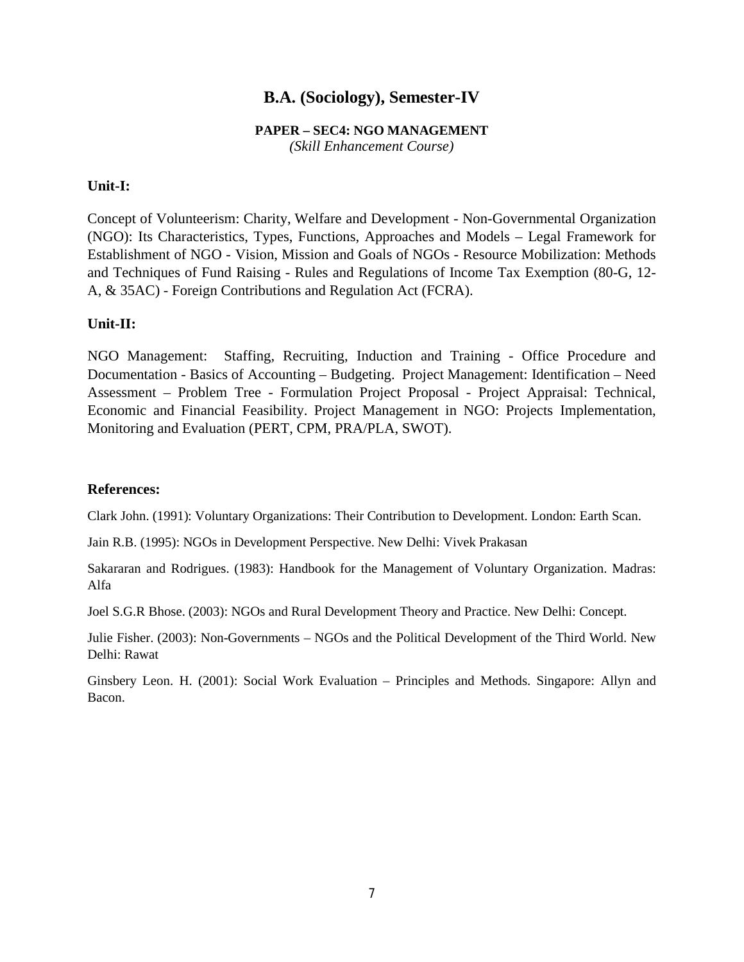# **PAPER – SEC4: NGO MANAGEMENT**

*(Skill Enhancement Course)*

### **Unit-I:**

Concept of Volunteerism: Charity, Welfare and Development - Non-Governmental Organization (NGO): Its Characteristics, Types, Functions, Approaches and Models – Legal Framework for Establishment of NGO - Vision, Mission and Goals of NGOs - Resource Mobilization: Methods and Techniques of Fund Raising - Rules and Regulations of Income Tax Exemption (80-G, 12- A, & 35AC) - Foreign Contributions and Regulation Act (FCRA).

## **Unit-II:**

NGO Management: Staffing, Recruiting, Induction and Training - Office Procedure and Documentation - Basics of Accounting – Budgeting. Project Management: Identification – Need Assessment – Problem Tree - Formulation Project Proposal - Project Appraisal: Technical, Economic and Financial Feasibility. Project Management in NGO: Projects Implementation, Monitoring and Evaluation (PERT, CPM, PRA/PLA, SWOT).

### **References:**

Clark John. (1991): Voluntary Organizations: Their Contribution to Development. London: Earth Scan.

Jain R.B. (1995): NGOs in Development Perspective. New Delhi: Vivek Prakasan

Sakararan and Rodrigues. (1983): Handbook for the Management of Voluntary Organization. Madras: Alfa

Joel S.G.R Bhose. (2003): NGOs and Rural Development Theory and Practice. New Delhi: Concept.

Julie Fisher. (2003): Non-Governments – NGOs and the Political Development of the Third World. New Delhi: Rawat

Ginsbery Leon. H. (2001): Social Work Evaluation – Principles and Methods. Singapore: Allyn and Bacon.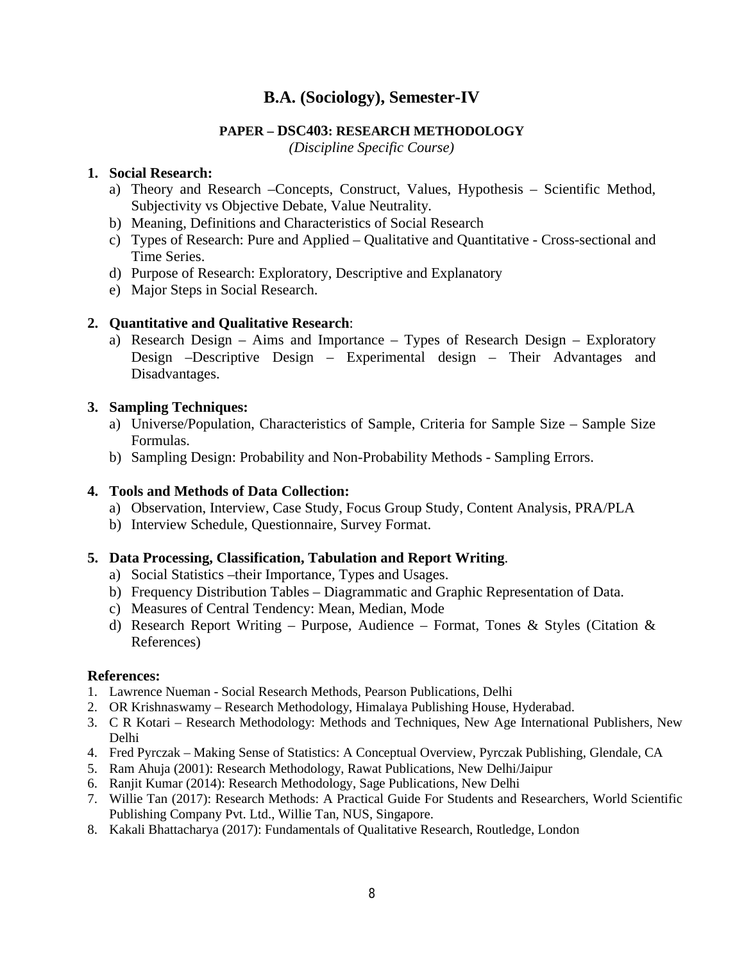# **PAPER – DSC403: RESEARCH METHODOLOGY**

*(Discipline Specific Course)*

# **1. Social Research:**

- a) Theory and Research –Concepts, Construct, Values, Hypothesis Scientific Method, Subjectivity vs Objective Debate, Value Neutrality.
- b) Meaning, Definitions and Characteristics of Social Research
- c) Types of Research: Pure and Applied Qualitative and Quantitative Cross-sectional and Time Series.
- d) Purpose of Research: Exploratory, Descriptive and Explanatory
- e) Major Steps in Social Research.

# **2. Quantitative and Qualitative Research**:

a) Research Design – Aims and Importance – Types of Research Design – Exploratory Design –Descriptive Design – Experimental design – Their Advantages and Disadvantages.

# **3. Sampling Techniques:**

- a) Universe/Population, Characteristics of Sample, Criteria for Sample Size Sample Size Formulas.
- b) Sampling Design: Probability and Non-Probability Methods Sampling Errors.

# **4. Tools and Methods of Data Collection:**

- a) Observation, Interview, Case Study, Focus Group Study, Content Analysis, PRA/PLA
- b) Interview Schedule, Questionnaire, Survey Format.

# **5. Data Processing, Classification, Tabulation and Report Writing**.

- a) Social Statistics –their Importance, Types and Usages.
- b) Frequency Distribution Tables Diagrammatic and Graphic Representation of Data.
- c) Measures of Central Tendency: Mean, Median, Mode
- d) Research Report Writing Purpose, Audience Format, Tones & Styles (Citation & References)

- 1. Lawrence Nueman Social Research Methods, Pearson Publications, Delhi
- 2. OR Krishnaswamy Research Methodology, Himalaya Publishing House, Hyderabad.
- 3. C R Kotari Research Methodology: Methods and Techniques, New Age International Publishers, New Delhi
- 4. Fred Pyrczak Making Sense of Statistics: A Conceptual Overview, Pyrczak Publishing, Glendale, CA
- 5. Ram Ahuja (2001): Research Methodology, Rawat Publications, New Delhi/Jaipur
- 6. Ranjit Kumar (2014): Research Methodology, Sage Publications, New Delhi
- 7. Willie Tan (2017): Research Methods: A Practical Guide For Students and Researchers, World Scientific Publishing Company Pvt. Ltd., Willie Tan, NUS, Singapore.
- 8. Kakali Bhattacharya (2017): Fundamentals of Qualitative Research, Routledge, London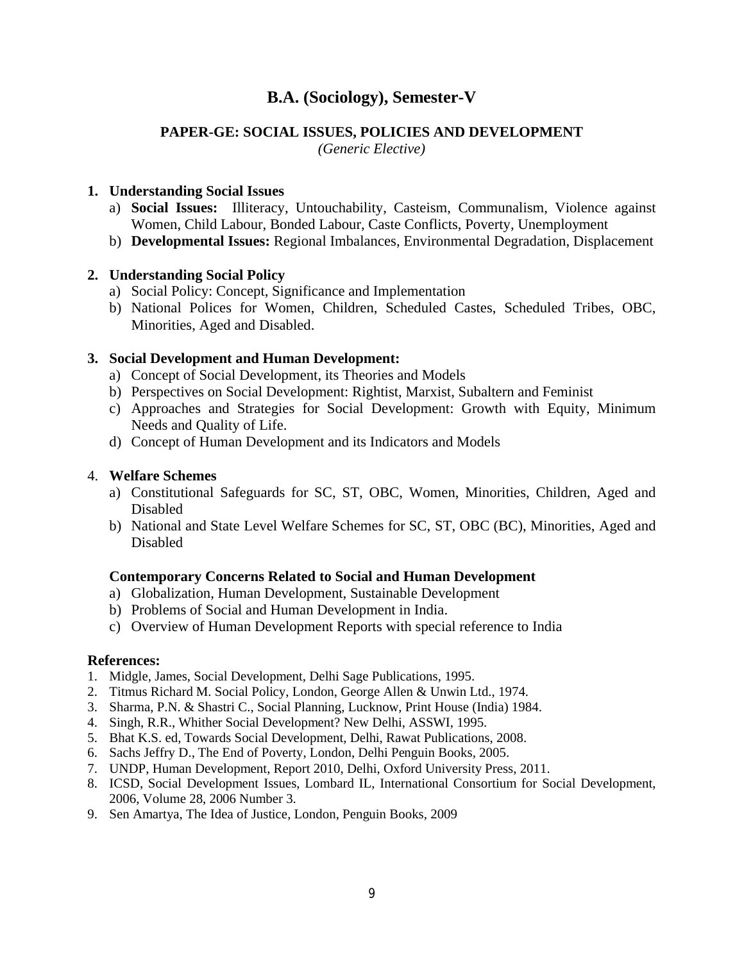# **PAPER-GE: SOCIAL ISSUES, POLICIES AND DEVELOPMENT**

*(Generic Elective)*

# **1. Understanding Social Issues**

- a) **Social Issues:** Illiteracy, Untouchability, Casteism, Communalism, Violence against Women, Child Labour, Bonded Labour, Caste Conflicts, Poverty, Unemployment
- b) **Developmental Issues:** Regional Imbalances, Environmental Degradation, Displacement

# **2. Understanding Social Policy**

- a) Social Policy: Concept, Significance and Implementation
- b) National Polices for Women, Children, Scheduled Castes, Scheduled Tribes, OBC, Minorities, Aged and Disabled.

# **3. Social Development and Human Development:**

- a) Concept of Social Development, its Theories and Models
- b) Perspectives on Social Development: Rightist, Marxist, Subaltern and Feminist
- c) Approaches and Strategies for Social Development: Growth with Equity, Minimum Needs and Quality of Life.
- d) Concept of Human Development and its Indicators and Models

# 4. **Welfare Schemes**

- a) Constitutional Safeguards for SC, ST, OBC, Women, Minorities, Children, Aged and Disabled
- b) National and State Level Welfare Schemes for SC, ST, OBC (BC), Minorities, Aged and Disabled

# **Contemporary Concerns Related to Social and Human Development**

- a) Globalization, Human Development, Sustainable Development
- b) Problems of Social and Human Development in India.
- c) Overview of Human Development Reports with special reference to India

- 1. Midgle, James, Social Development, Delhi Sage Publications, 1995.
- 2. Titmus Richard M. Social Policy, London, George Allen & Unwin Ltd., 1974.
- 3. Sharma, P.N. & Shastri C., Social Planning, Lucknow, Print House (India) 1984.
- 4. Singh, R.R., Whither Social Development? New Delhi, ASSWI, 1995.
- 5. Bhat K.S. ed, Towards Social Development, Delhi, Rawat Publications, 2008.
- 6. Sachs Jeffry D., The End of Poverty, London, Delhi Penguin Books, 2005.
- 7. UNDP, Human Development, Report 2010, Delhi, Oxford University Press, 2011.
- 8. ICSD, Social Development Issues, Lombard IL, International Consortium for Social Development, 2006, Volume 28, 2006 Number 3.
- 9. Sen Amartya, The Idea of Justice, London, Penguin Books, 2009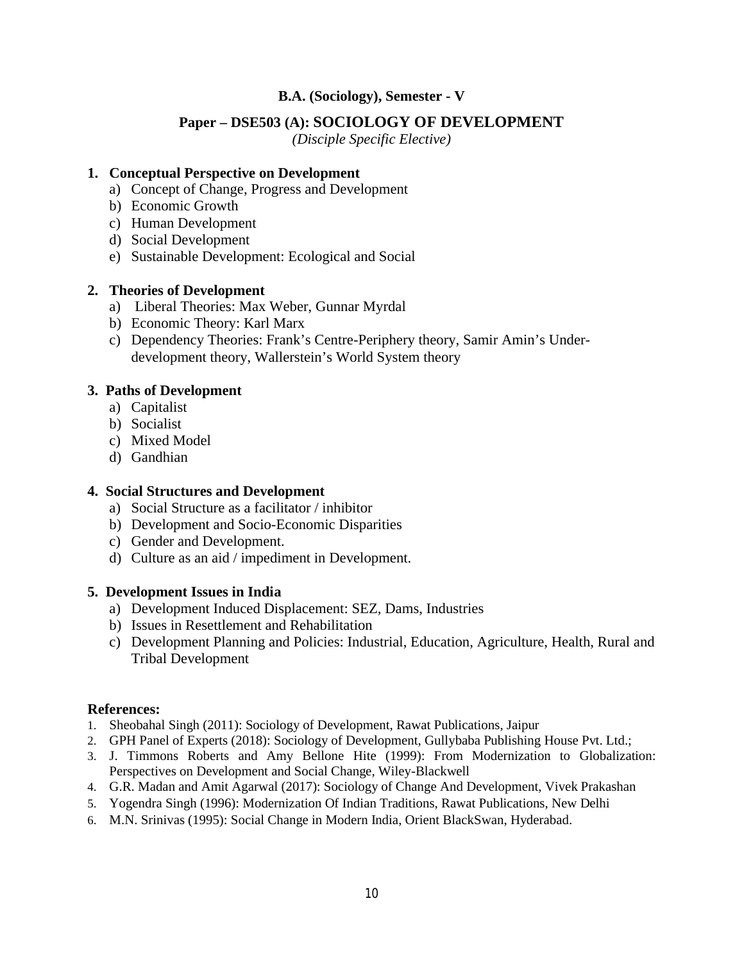# **Paper – DSE503 (A): SOCIOLOGY OF DEVELOPMENT**

*(Disciple Specific Elective)*

#### **1. Conceptual Perspective on Development**

- a) Concept of Change, Progress and Development
- b) Economic Growth
- c) Human Development
- d) Social Development
- e) Sustainable Development: Ecological and Social

#### **2. Theories of Development**

- a) Liberal Theories: Max Weber, Gunnar Myrdal
- b) Economic Theory: Karl Marx
- c) Dependency Theories: Frank's Centre-Periphery theory, Samir Amin's Underdevelopment theory, Wallerstein's World System theory

#### **3. Paths of Development**

- a) Capitalist
- b) Socialist
- c) Mixed Model
- d) Gandhian

#### **4. Social Structures and Development**

- a) Social Structure as a facilitator / inhibitor
- b) Development and Socio-Economic Disparities
- c) Gender and Development.
- d) Culture as an aid / impediment in Development.

#### **5. Development Issues in India**

- a) Development Induced Displacement: SEZ, Dams, Industries
- b) Issues in Resettlement and Rehabilitation
- c) Development Planning and Policies: Industrial, Education, Agriculture, Health, Rural and Tribal Development

- 1. Sheobahal Singh (2011): Sociology of Development, Rawat Publications, Jaipur
- 2. GPH Panel of Experts (2018): Sociology of Development, Gullybaba Publishing House Pvt. Ltd.;
- 3. J. Timmons Roberts and Amy Bellone Hite (1999): From Modernization to Globalization: Perspectives on Development and Social Change, Wiley-Blackwell
- 4. G.R. Madan and Amit Agarwal (2017): Sociology of Change And Development, Vivek Prakashan
- 5. Yogendra Singh (1996): Modernization Of Indian Traditions, Rawat Publications, New Delhi
- 6. M.N. Srinivas (1995): Social Change in Modern India, Orient BlackSwan, Hyderabad.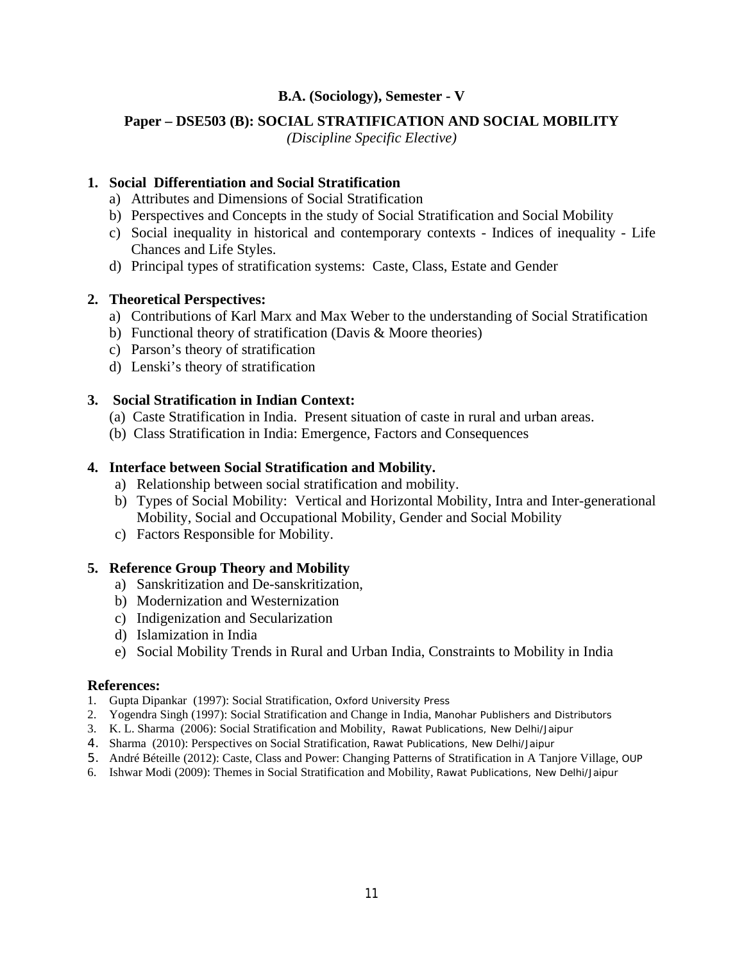## **Paper – DSE503 (B): SOCIAL STRATIFICATION AND SOCIAL MOBILITY**

*(Discipline Specific Elective)*

## **1. Social Differentiation and Social Stratification**

- a) Attributes and Dimensions of Social Stratification
- b) Perspectives and Concepts in the study of Social Stratification and Social Mobility
- c) Social inequality in historical and contemporary contexts Indices of inequality Life Chances and Life Styles.
- d) Principal types of stratification systems: Caste, Class, Estate and Gender

# **2. Theoretical Perspectives:**

- a) Contributions of Karl Marx and Max Weber to the understanding of Social Stratification
- b) Functional theory of stratification (Davis & Moore theories)
- c) Parson's theory of stratification
- d) Lenski's theory of stratification

# **3. Social Stratification in Indian Context:**

- (a) Caste Stratification in India. Present situation of caste in rural and urban areas.
- (b) Class Stratification in India: Emergence, Factors and Consequences

# **4. Interface between Social Stratification and Mobility.**

- a) Relationship between social stratification and mobility.
- b) Types of Social Mobility: Vertical and Horizontal Mobility, Intra and Inter-generational Mobility, Social and Occupational Mobility, Gender and Social Mobility
- c) Factors Responsible for Mobility.

# **5. Reference Group Theory and Mobility**

- a) Sanskritization and De-sanskritization,
- b) Modernization and Westernization
- c) Indigenization and Secularization
- d) Islamization in India
- e) Social Mobility Trends in Rural and Urban India, Constraints to Mobility in India

- 1. Gupta Dipankar (1997): Social Stratification, Oxford University Press
- 2. Yogendra Singh (1997): Social Stratification and Change in India, Manohar Publishers and Distributors
- 3. K. L. Sharma (2006): Social Stratification and Mobility, Rawat Publications, New Delhi/Jaipur
- 4. Sharma (2010): Perspectives on Social Stratification, Rawat Publications, New Delhi/Jaipur
- 5. André Béteille (2012): Caste, Class and Power: Changing Patterns of Stratification in A Tanjore Village, OUP
- 6. Ishwar Modi (2009): Themes in Social Stratification and Mobility, Rawat Publications, New Delhi/Jaipur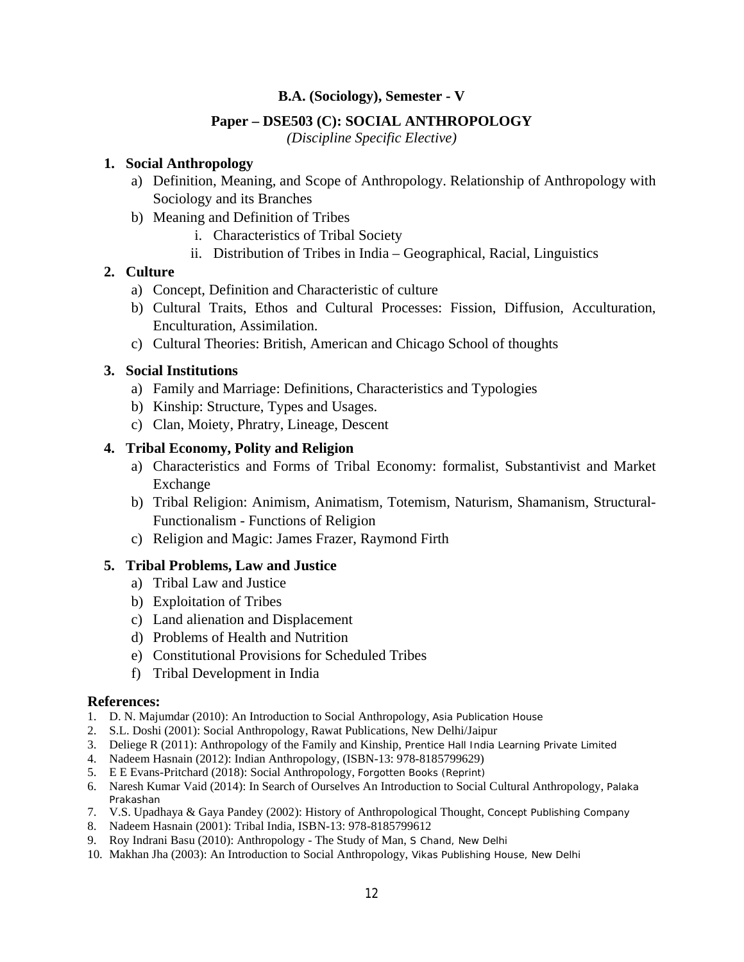## **Paper – DSE503 (C): SOCIAL ANTHROPOLOGY**

*(Discipline Specific Elective)*

### **1. Social Anthropology**

- a) Definition, Meaning, and Scope of Anthropology. Relationship of Anthropology with Sociology and its Branches
- b) Meaning and Definition of Tribes
	- i. Characteristics of Tribal Society
	- ii. Distribution of Tribes in India Geographical, Racial, Linguistics

## **2. Culture**

- a) Concept, Definition and Characteristic of culture
- b) Cultural Traits, Ethos and Cultural Processes: Fission, Diffusion, Acculturation, Enculturation, Assimilation.
- c) Cultural Theories: British, American and Chicago School of thoughts

# **3. Social Institutions**

- a) Family and Marriage: Definitions, Characteristics and Typologies
- b) Kinship: Structure, Types and Usages.
- c) Clan, Moiety, Phratry, Lineage, Descent

## **4. Tribal Economy, Polity and Religion**

- a) Characteristics and Forms of Tribal Economy: formalist, Substantivist and Market Exchange
- b) Tribal Religion: Animism, Animatism, Totemism, Naturism, Shamanism, Structural-Functionalism - Functions of Religion
- c) Religion and Magic: James Frazer, Raymond Firth

## **5. Tribal Problems, Law and Justice**

- a) Tribal Law and Justice
- b) Exploitation of Tribes
- c) Land alienation and Displacement
- d) Problems of Health and Nutrition
- e) Constitutional Provisions for Scheduled Tribes
- f) Tribal Development in India

- 1. D. N. Majumdar (2010): An Introduction to Social Anthropology, Asia Publication House
- 2. S.L. Doshi (2001): Social Anthropology, Rawat Publications, New Delhi/Jaipur
- 3. Deliege R (2011): Anthropology of the Family and Kinship, Prentice Hall India Learning Private Limited
- 4. Nadeem Hasnain (2012): Indian Anthropology, (ISBN-13: 978-8185799629)
- 5. E E Evans-Pritchard (2018): Social Anthropology, Forgotten Books (Reprint)
- 6. Naresh Kumar Vaid (2014): In Search of Ourselves An Introduction to Social Cultural Anthropology, Palaka Prakashan
- 7. V.S. Upadhaya & Gaya Pandey (2002): History of Anthropological Thought, Concept Publishing Company
- 8. Nadeem Hasnain (2001): Tribal India, ISBN-13: 978-8185799612
- 9. Roy Indrani Basu (2010): Anthropology The Study of Man, S Chand, New Delhi
- 10. Makhan Jha (2003): An Introduction to Social Anthropology, Vikas Publishing House, New Delhi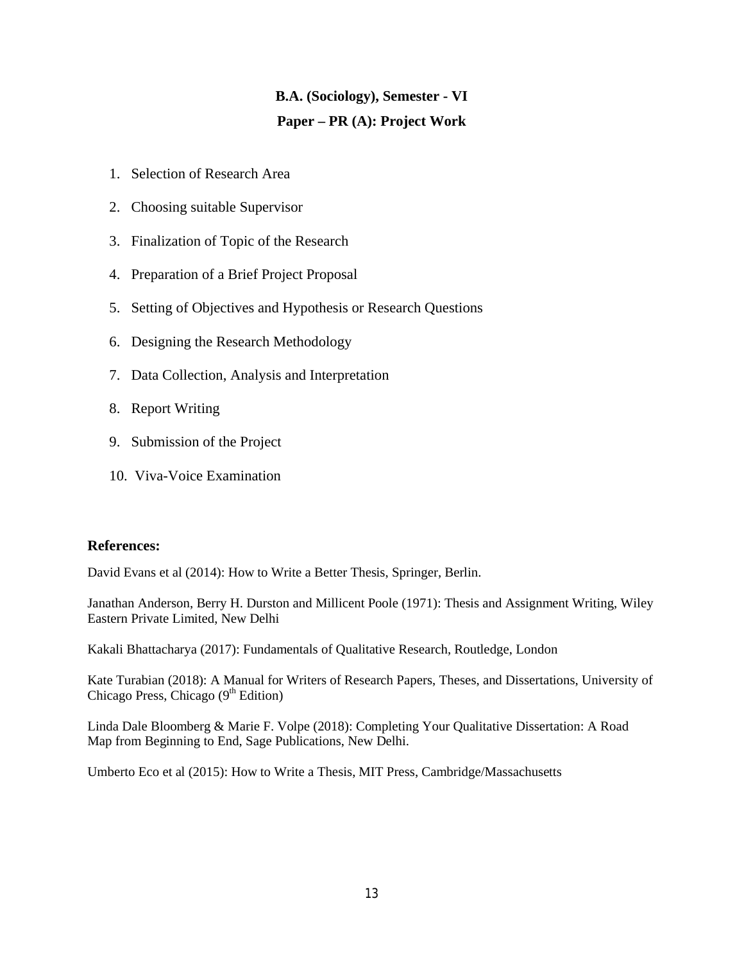# **B.A. (Sociology), Semester - VI Paper – PR (A): Project Work**

- 1. Selection of Research Area
- 2. Choosing suitable Supervisor
- 3. Finalization of Topic of the Research
- 4. Preparation of a Brief Project Proposal
- 5. Setting of Objectives and Hypothesis or Research Questions
- 6. Designing the Research Methodology
- 7. Data Collection, Analysis and Interpretation
- 8. Report Writing
- 9. Submission of the Project
- 10. Viva-Voice Examination

## **References:**

David Evans et al (2014): How to Write a Better Thesis, Springer, Berlin.

Janathan Anderson, Berry H. Durston and Millicent Poole (1971): Thesis and Assignment Writing, Wiley Eastern Private Limited, New Delhi

Kakali Bhattacharya (2017): Fundamentals of Qualitative Research, Routledge, London

Kate Turabian (2018): A Manual for Writers of Research Papers, Theses, and Dissertations, University of Chicago Press, Chicago  $(9<sup>th</sup> Edition)$ 

Linda Dale Bloomberg & Marie F. Volpe (2018): Completing Your Qualitative Dissertation: A Road Map from Beginning to End, Sage Publications, New Delhi.

Umberto Eco et al (2015): How to Write a Thesis, MIT Press, Cambridge/Massachusetts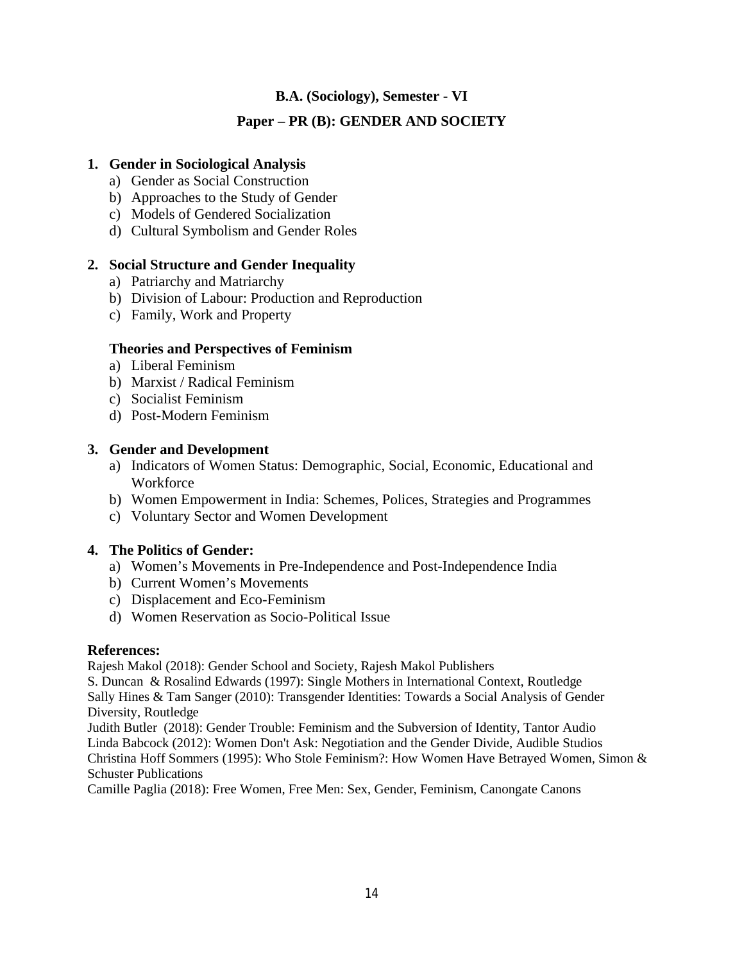# **Paper – PR (B): GENDER AND SOCIETY**

# **1. Gender in Sociological Analysis**

- a) Gender as Social Construction
- b) Approaches to the Study of Gender
- c) Models of Gendered Socialization
- d) Cultural Symbolism and Gender Roles

# **2. Social Structure and Gender Inequality**

- a) Patriarchy and Matriarchy
- b) Division of Labour: Production and Reproduction
- c) Family, Work and Property

## **Theories and Perspectives of Feminism**

- a) Liberal Feminism
- b) Marxist / Radical Feminism
- c) Socialist Feminism
- d) Post-Modern Feminism

# **3. Gender and Development**

- a) Indicators of Women Status: Demographic, Social, Economic, Educational and **Workforce**
- b) Women Empowerment in India: Schemes, Polices, Strategies and Programmes
- c) Voluntary Sector and Women Development

## **4. The Politics of Gender:**

- a) Women's Movements in Pre-Independence and Post-Independence India
- b) Current Women's Movements
- c) Displacement and Eco-Feminism
- d) Women Reservation as Socio-Political Issue

## **References:**

Rajesh Makol (2018): Gender School and Society, Rajesh Makol Publishers

S. Duncan & Rosalind Edwards (1997): Single Mothers in International Context, Routledge Sally Hines & Tam Sanger (2010): Transgender Identities: Towards a Social Analysis of Gender Diversity, Routledge

Judith Butler (2018): Gender Trouble: Feminism and the Subversion of Identity, Tantor Audio Linda Babcock (2012): Women Don't Ask: Negotiation and the Gender Divide, Audible Studios Christina Hoff Sommers (1995): Who Stole Feminism?: How Women Have Betrayed Women, Simon & Schuster Publications

Camille Paglia (2018): Free Women, Free Men: Sex, Gender, Feminism, Canongate Canons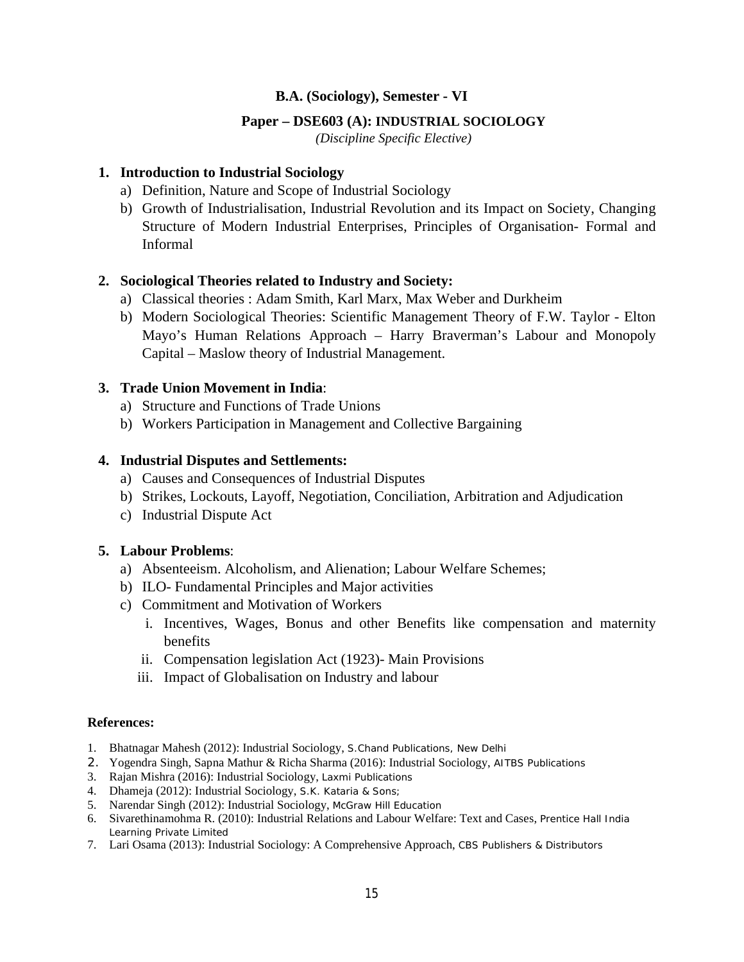### **Paper – DSE603 (A): INDUSTRIAL SOCIOLOGY**

*(Discipline Specific Elective)*

### **1. Introduction to Industrial Sociology**

- a) Definition, Nature and Scope of Industrial Sociology
- b) Growth of Industrialisation, Industrial Revolution and its Impact on Society, Changing Structure of Modern Industrial Enterprises, Principles of Organisation- Formal and Informal

## **2. Sociological Theories related to Industry and Society:**

- a) Classical theories : Adam Smith, Karl Marx, Max Weber and Durkheim
- b) Modern Sociological Theories: Scientific Management Theory of F.W. Taylor Elton Mayo's Human Relations Approach – Harry Braverman's Labour and Monopoly Capital – Maslow theory of Industrial Management.

# **3. Trade Union Movement in India**:

- a) Structure and Functions of Trade Unions
- b) Workers Participation in Management and Collective Bargaining

## **4. Industrial Disputes and Settlements:**

- a) Causes and Consequences of Industrial Disputes
- b) Strikes, Lockouts, Layoff, Negotiation, Conciliation, Arbitration and Adjudication
- c) Industrial Dispute Act

## **5. Labour Problems**:

- a) Absenteeism. Alcoholism, and Alienation; Labour Welfare Schemes;
- b) ILO- Fundamental Principles and Major activities
- c) Commitment and Motivation of Workers
	- i. Incentives, Wages, Bonus and other Benefits like compensation and maternity benefits
	- ii. Compensation legislation Act (1923)- Main Provisions
	- iii. Impact of Globalisation on Industry and labour

- 1. Bhatnagar Mahesh (2012): Industrial Sociology, S.Chand Publications, New Delhi
- 2. Yogendra Singh, Sapna Mathur & Richa Sharma (2016): Industrial Sociology, AITBS Publications
- 3. Rajan Mishra (2016): Industrial Sociology, Laxmi Publications
- 4. Dhameja (2012): Industrial Sociology, S.K. Kataria & Sons;
- 5. Narendar Singh (2012): Industrial Sociology, McGraw Hill Education
- 6. Sivarethinamohma R. (2010): Industrial Relations and Labour Welfare: Text and Cases, Prentice Hall India Learning Private Limited
- 7. Lari Osama (2013): Industrial Sociology: A Comprehensive Approach, CBS Publishers & Distributors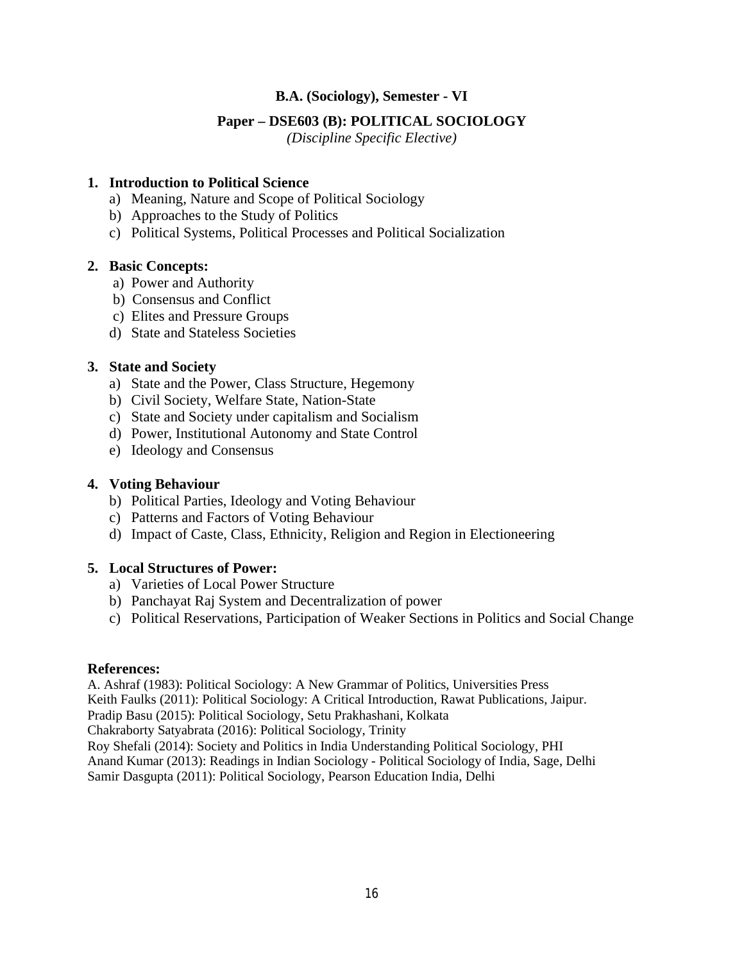## **Paper – DSE603 (B): POLITICAL SOCIOLOGY**

*(Discipline Specific Elective)*

## **1. Introduction to Political Science**

- a) Meaning, Nature and Scope of Political Sociology
- b) Approaches to the Study of Politics
- c) Political Systems, Political Processes and Political Socialization

#### **2. Basic Concepts:**

- a) Power and Authority
- b) Consensus and Conflict
- c) Elites and Pressure Groups
- d) State and Stateless Societies

#### **3. State and Society**

- a) State and the Power, Class Structure, Hegemony
- b) Civil Society, Welfare State, Nation-State
- c) State and Society under capitalism and Socialism
- d) Power, Institutional Autonomy and State Control
- e) Ideology and Consensus

### **4. Voting Behaviour**

- b) Political Parties, Ideology and Voting Behaviour
- c) Patterns and Factors of Voting Behaviour
- d) Impact of Caste, Class, Ethnicity, Religion and Region in Electioneering

## **5. Local Structures of Power:**

- a) Varieties of Local Power Structure
- b) Panchayat Raj System and Decentralization of power
- c) Political Reservations, Participation of Weaker Sections in Politics and Social Change

#### **References:**

A. Ashraf (1983): Political Sociology: A New Grammar of Politics, Universities Press Keith Faulks (2011): Political Sociology: A Critical Introduction, Rawat Publications, Jaipur. Pradip Basu (2015): Political Sociology, Setu Prakhashani, Kolkata Chakraborty Satyabrata (2016): Political Sociology, Trinity Roy Shefali (2014): Society and Politics in India Understanding Political Sociology, PHI Anand Kumar (2013): Readings in Indian Sociology - Political Sociology of India, Sage, Delhi Samir Dasgupta (2011): Political Sociology, Pearson Education India, Delhi